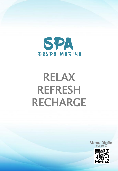

# RELAX REFRESH RECHARGE



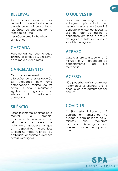# RESERVAS

As Reservas deverão ser realizadas antecipadamente através de e-mail ou contacto telefónico ou diretamente na receção do Hotel.

geral@douromarinahotel.com 254 870 700

# **CHEGADA**

Recomendamos que chegue 10 minutos antes da sua reserva, de forma a evitar atrasos.

### CANCELAMENTO

Os cancelamentos ou alterações de reservas deverão ser efetuados com uma antecedência mínima de 24 horas. O não cumprimento significa o pagamento na íntegra do tratamento agendado.

# SILÊNCIO

Respeitosamente pedimos para manter o silêncio, especialmente nas áreas de relaxamento e salas de tratamento. Agradecemos que os dispositivos eletrónicos estejam no modo "silêncio" ou desligados enquanto estiver nas nossas instalações.

# O QUE VESTIR

Para as massagens será entregue roupão e toalha. Na piscina interior e no jacuzzi é obrigatório o uso de touca. O uso de fato de banho é obrigatório em todo o circuito de Águas e fato de treino e sapatilhas no ginásio.

# ATRASO

Caso o atraso seja superior a 10 minutos, o SPA procederá ao cancelamento da sua marcação.

# ACESSO

Não poderão realizar quaisquer tratamentos as crianças até 16 anos , exceto se autorizados por adultos.

# COVID 19

O SPA está limitado a 12 pessoas em simultâneo no espaço e com períodos de 60 minutos que requerem marcação. Marcações são aceites durante ou após o check in.

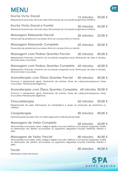# **MENU** PT

| <b>Duche Vichy Dorsal</b><br>Relaxamento profundo; Alivio do stress; Estimulação da circulação sanguínea e linfática.           | 15 minutos 30.00 $\epsilon$ |  |
|---------------------------------------------------------------------------------------------------------------------------------|-----------------------------|--|
| <b>Duche Vichy Dorsal e Frontal</b><br>Relaxamento profundo; Alivio do stress; Estimulação da circulação sanguínea e linfática. | 30 minutos 45.00 €          |  |
| <b>Massagem Relaxante Parcial</b><br>Prevenção de problemas musculares; Alivio do cansaço físico e mental.                      | 30 minutos 35,00 $\epsilon$ |  |
| <b>Massagem Relaxante Completa</b>                                                                                              | 60 minutos 50.00 €          |  |

Prevenção de problemas musculares; Aliviodo cansaço físico e mental.

#### **Massagem com Pedras Quentes Parcial 30 minutos 40,00 €**

Relaxamento Profundo; Aumento da circulação sanguínea local; Diminuição de stress e tensões; Aliviode dores musculares.

### **Massagem com Pedras Quentes Completa 60 minutos 60,00 €**

Relaxamento Profundo; Aumento da circulação sanguínea local; Diminuição de stress e tensões; Aliviode dores musculares.

### **Aromaterapia com Óleos Quentes Parcial 40 minutos 40,00 €**

Promove o relaxamento geral; Tratamento de insónias; Dores de cabeça/enxaquecas; Dores musculares; Perturbações digestivas.

### **Aromaterapia com Óleos Quentes Completa 60 minutos 50,00 €**

Promove o relaxamento geral; Tratamento de insónias; Dores de cabeça/enxaquecas; Dores musculares;Perturbações digestivas.

### **Chocolaterapia**

Regeneração da pele; Estimulação do metabolismo e ajuda na produção de serotonina no cérebro.

### **Cerejoterapia**

Desintoxicação da pele; Tem um efeito depurativo; Hidratação da pele.

### **Massagem de Velas Completa**

Alivia tensões musculares, dores, fadiga e rigidez muscular; Melhora a circulação sanguínea; Auxilia na eliminação dos detritos acumulados no organismo; Regulariza funções intestinais; Hidrata a pele.

#### **Massagem de Velas Parcial**

Alivia tensões musculares, dores, fadiga e rigidez muscular; Melhora a circulação sanguínea; Auxilia na eliminação dos detritos acumulados no organismo; Regulariza funções intestinais; Hidrata a pele.

#### **Facial**

Esfoliação e Máscara Facial.

### **60 minutos 60,00 €**

# **40 minutos 40,00 €**

### **40 minutos 40,00 €**



# **60 minutos 50,00 €**

**40 minutos 40,00 €**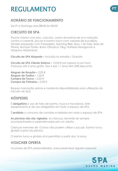# REGULAMENTO **PT**

# **HORÁRIO DE FUNCIONAMENTO**

De 2ª a Domingo das 08h00 às 20h00

### **CIRCUITO DE SPA**

Piscina Interior com jato, cascata, cama de bolhas de ar e natação contra a corrente, jacuzzi e banho turco com vapores de eucalipto. Ginásio equipado com Passadeira, Spinning Bike, Bosu / Air Step, Bola de Fitness, Bumper Plates, Barra Olímpica 10kg, Halteres Hexagonais e Máquina Abdominal.

**Circuito de SPA Hóspede –** Incluído na estadia / Gratuito

**Circuito de SPA Cliente Externo –** 10,00 € por pessoa e por hora Crianças até 3 anos grátis. Dos 4 aos 11 anos têm 50% desconto.

**Aluguer de Roupão –** 2,00 € **Aluguer de Toalha –** 1,00 € **Compra de Touca –** 2,50 € **Compra de Chinelos –** 2,00 €

Requer marcação prévia e mediante disponibilidade para utilização do Circuito de Spa.

# **HÓSPEDES**

É **obrigatório** o uso de fato de banho, touca e havaianas. Este equipamento é de uso obrigatório em todo o espaço de SPA.

É **proibido** o consumo de comidas e bebidas em todo o espaço de SPA.

**As piscinas não são vigiadas.** As crianças deverão ser sempre acompanhadas e supervisionadas por um adulto.

Crianças menores de 12 anos não podem utilizar o jacuzzi, banho turco, ginásio e jatos da piscina.

O banho turco e ginásio só é permitido a partir dos 16 anos.

# **VOUCHER OFERTA**

Vouchers de SPA personalizados, para presentear alguém especial.

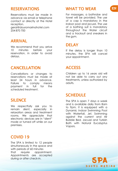# RESERVATIONS

Reservations must be made in advance via email or telephone contact or directly at the Hotel reception.

geral@douromarinahotel.com 254 870 700

# ARRIVAL

We recommend that you arrive 10 minutes before your reservation, in order to avoid delays.

# **CANCELLATION**

Cancellations or changes to reservations must be made at least 24 hours in advance. Failure to comply means payment in full for the scheduled treatment.

# **SILENCE**

We respectfully ask you to remain silent, especially in relaxation areas and treatment rooms. We appreciate that electronic devices are in "silent" mode or turned off while on our premises.

# COVID 19

The SPA is limited to 12 people simultaneously in the space and with periods of 60 minutes that require appointment. Appointments are accepted during or after check-in.

# WHAT TO WEAR **EN**

For massages, a bathrobe and towel will be provided. The use of a cap is mandatory in the indoor pool and jacuzzi. The use of a bathing suit is mandatory throughout the Water circuit and a tracksuit and sneakers in the gym.

# DELAY

If the delay is longer than 10 minutes, the SPA will cancel your appointment.

# **ACCESS**

Children up to 16 years old will not be able to carry out any treatments, unless authorized by adults.

# **SCHEDULE**

The SPA is open 7 days a week and is available daily from 8am to 9pm. It is equipped with a Dynamic Indoor Swimming Pool with Waterfall, Jet, Swimming against the current and Air Bubble Bed, Jacuzzi and Turkish Bath with Natural Eucalyptus Vapors.

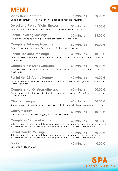| <b>MENU</b>                                                                                                                                                                                                                              |                   |             |
|------------------------------------------------------------------------------------------------------------------------------------------------------------------------------------------------------------------------------------------|-------------------|-------------|
| <b>Vichy Dorsal Shower</b><br>Deep relaxation; Stress relief; Stimulation of blood and lymphatic circulation.                                                                                                                            | 15 minutes        | 30,00 €     |
| <b>Dorsal and Frontal Vichy Shower</b><br>Deep relaxation; Stress relief; Stimulation of blood and lymphatic circulation.                                                                                                                | 30 minutes        | 45,00 €     |
| <b>Partial Relaxing Massage</b><br>Prevention of muscle problems; Relief from physical and mental fatigue.                                                                                                                               | 30 minutes        | 35,00 €     |
| <b>Complete Relaxing Massage</b><br>Prevention of muscle problems; Relief from physical and mental fatigue.                                                                                                                              | 60 minutes        | 50,00 €     |
| <b>Partial Hot Stone Massage</b><br>Deep Relaxation; Increased local blood circulation; Decrease in stress and tensions; Relief from<br>muscle pain.                                                                                     | 30 minutes        | 40,00 €     |
| <b>Complete Hot Stone Massage</b><br>Deep Relaxation; Increased local blood circulation; Decrease in stress and tensions; Relief from<br>muscle pain.                                                                                    | 60 minutes        | $60,00 \in$ |
| <b>Partial Hot Oil Aromatherapy</b><br>Promotes general relaxation; Treatment of insomnia; Headaches/migraines; Muscle aches;<br>Digestive disorders.                                                                                    | 40 minutes        | 40,00 €     |
| <b>Complete Hot Oil Aromatherapy</b><br>Promotes general relaxation; Treatment of insomnia; Headaches/migraines; Muscle aches;<br>Digestive disorders.                                                                                   | 60 minutes        | 50,00 €     |
| Chocolatherapy<br>Skin regeneration; Stimulation of metabolism and helps in the production of serotonin in the brain.                                                                                                                    | <b>60 minutes</b> | 50,00 €     |
| Cherrytherapy<br>Skin detoxification; It has a debugging effect; Skin hydration.                                                                                                                                                         | 40 minutes        | 40.00 €     |
| <b>Complete Candle Massage</b><br>Relieves muscle tension, pain, fatigue and muscle stiffness; Improves blood circulation; Helps to<br>eliminate debris accumulated in the body; Regularizes intestinal functions; Moisturizes the skin. | 60 minutes        | $60,00 \in$ |
| <b>Partial Candle Massage</b><br>Relieves muscle tension, pain, fatigue and muscle stiffness; Improves blood circulation; Helps to<br>eliminate debris accumulated in the body; Regularizes intestinal functions; Moisturizes the skin.  | 40 minutes        | 40,00 €     |
| <b>Facial</b><br>Exfoliation and Face Mask.                                                                                                                                                                                              | 40 minutes        | 40,00 €     |
|                                                                                                                                                                                                                                          |                   |             |



**EN**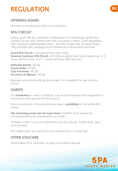# REGULATION **EN**

# **OPENING HOURS**

Monday to Sunday from 8:00 am to 8:00 pm

### **SPA CIRCUIT**

Indoor pool with jet, waterfall, bubble bed and swimming against the current, jacuzzi and Turkish bath with eucalyptus steam. Gym equipped with Treadmill, Spinning Bike, Bosu / Air Step, Fitness Ball, Bumper Plates, 10kg Olympic Bar, Hexagonal Dumbbells and Abdominal Machine.

**Guest SPA Circuit –** Included in the stay / Free **External Customer SPA Circuit − €10.00 per person per hourChildren up to 3** years old free. From 4 to 11 years old have 50% discount.

**Bathrobe Rental − €2.00 Towel rental –** €1.00 **Cap Purchase –** €2.50 **Purchase of Slippers –** €2.00

Requires advance booking and subject to availability to use the Spa Circuit.

### **GUESTS**

It is **mandatory** to wear a swimsuit, cap and hawaianas. This equipment is mandatory throughout the SPA space.

The consumption of food and beverages is **prohibited** in the entire SPA space.

**The swimming pools are not supervised.** Children must always be accompanied and supervised by an adult.

Children under 12 are not allowed to use the Jacuzzi, Turkish bath, gym and pool jets.

The Turkish bath and gym are only allowed from 16 years old.

# **OFFER VOUCHER**

Personalized SPA vouchers, to give to someone special.